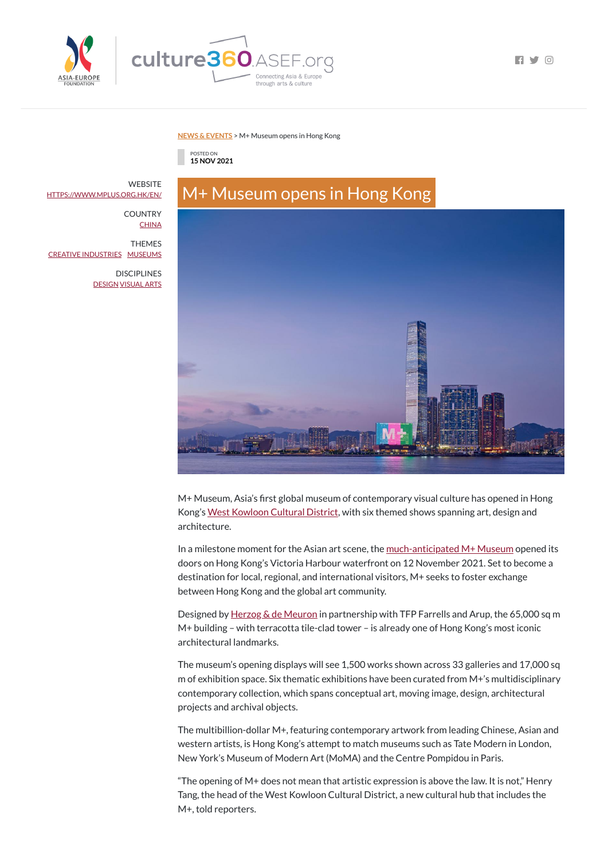

 $\blacksquare$ 

## **NEWS & [EVENTS](https://culture360.asef.org/news-events/)** > M+ Museum opens in Hong Kong



## M+ Museum opens in Hong Kong



M+ Museum, Asia's first global museum of contemporary visual culture has opened in Hong Kong's West [Kowloon](https://www.westkowloon.hk/en/mplus#overview) Cultural District, with six themed shows spanning art, design and architecture.

In a milestone moment for the Asian art scene, the [much-anticipated](https://www.wallpaper.com/architecture/m-museum-hong-kong-2021-opening)  $M+M$ useum opened its doors on Hong Kong's Victoria Harbour waterfront on 12 November 2021. Set to become a destination for local, regional, and international visitors, M+ seeks to foster exchange between Hong Kong and the global art community.

Designed by Herzog & de [Meuron](https://www.wallpaper.com/tags/herzog-de-meuron) in partnership with TFP Farrells and Arup, the 65,000 sq m M+ building – with terracotta tile-clad tower – is already one of Hong Kong's most iconic architectural landmarks.

"The opening of  $M<sub>+</sub>$  does not mean that artistic expression is above the law. It is not," Henry Tang, the head of the West Kowloon Cultural District, a new cultural hub that includes the M+, told reporters.

**WEBSITE** [HTTPS://WWW.MPLUS.ORG.HK/EN/](https://www.mplus.org.hk/en/)

> **COUNTRY [CHINA](https://culture360.asef.org/countries/china/)**

**DISCIPLINES** [DESIGN](https://culture360.asef.org/disciplines/design/) [VISUAL](https://culture360.asef.org/disciplines/visual-arts/) ARTS

> The museum's opening displays will see 1,500 works shown across 33 galleries and 17,000 sq m of exhibition space. Six thematic exhibitions have been curated from M+'s multidisciplinary contemporary collection, which spans conceptual art, moving image, design, architectural projects and archival objects.

> The multibillion-dollar M+, featuring contemporary artwork from leading Chinese, Asian and western artists, is Hong Kong's attempt to match museums such as Tate Modern in London, New York's Museum of Modern Art (MoMA) and the Centre Pompidou in Paris.

THEMES CREATIVE [INDUSTRIES](https://culture360.asef.org/themes/creative-industries/) [MUSEUMS](https://culture360.asef.org/themes/museums/)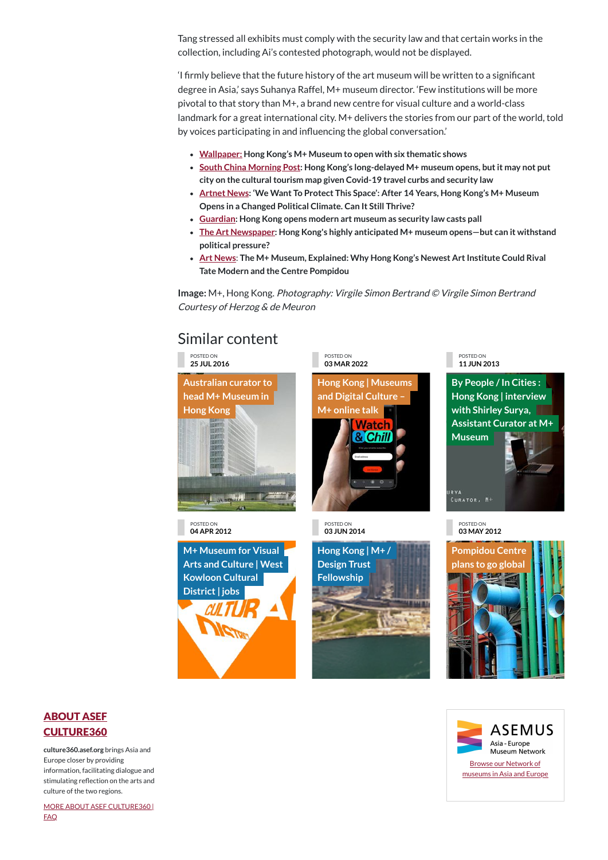## Similar content

Tang stressed all exhibits must comply with the security law and that certain works in the collection, including Ai's contested photograph, would not be displayed.

'I firmly believe that the future history of the art museum will be written to a significant degree in Asia,' says Suhanya Raffel, M+ museum director. 'Few institutions will be more pivotal to that story than M+, a brand new centre for visual culture and a world-class landmark for a great international city. M+ delivers the stories from our part of the world, told by voices participating in and influencing the global conversation.

- **[Wallpaper:](https://www.wallpaper.com/art/hong-kong-m-museum-to-open-with-six-thematic-exhibitions) Hong Kong's M+ Museum to open with six thematic shows**
- **South China Morning Post: Hong Kong's long-delayed M+ museum opens, butit may not put city on the culturaltourism map given Covid-19 travel curbs and security law**
- **[Artnet](https://news.artnet.com/art-world/m-plus-finally-opens-hong-kong-2032301) News: 'We Want To Protect This Space': After 14 Years, Hong Kong's M+ Museum Opens in a Changed Political Climate. Can It Still Thrive?**
- **[Guardian:](https://www.theguardian.com/world/2021/nov/11/hong-kong-opens-modern-art-museum-security-law-casts-pall) Hong Kong opens modern art museum as security law casts pall**
- **The Art [Newspaper](https://www.theartnewspaper.com/2021/11/12/review-hong-kong-mplus-museum-opens): Hong Kong's highly anticipated M+ museum opens—but can it withstand political pressure?**
- **Art [News](https://www.artnews.com/art-news/news/m-plus-museum-explained-hong-kong-controversies-1234608522/)**: **The M+ Museum, Explained: Why Hong Kong's Newest ArtInstitute Could Rival Tate Modern and the Centre Pompidou**

**ASEMUS** Asia - Europe Museum Network Browse our Network of [museums](http://www.asemus.museum/) in Asia and Europe

**Image:** M+, Hong Kong. Photography: Virgile Simon Bertrand © Virgile Simon Bertrand Courtesy of Herzog & de Meuron

**Hong Kong**

POSTED ON POSTED ON POSTED ON **03 MAR 2022 25 JUL 2016 11 JUN 2013 [Australian](https://culture360.asef.org/news-events/australian-curator-head-m-museum-hong-kong/) curator to Hong Kong | [Museums](https://culture360.asef.org/news-events/china-museums-and-digital-culture-online-talk/) By People /In Cities : Hong Kong | [interview](https://culture360.asef.org/magazine/people-cities-hong-kong-interview-shirley-surya-assistant-curator-m-museum/) head M+ Museum in and Digital Culture – M+ online talk with Shirley Surya, Assistant Curator at M+ Museum JRYA**  $1.64$ CURATOR, M+ POSTED ON POSTED ON POSTED ON **04 APR 2012 03 JUN 2014 03 MAY 2012 Hong Kong | M+ / [Pompidou](https://culture360.asef.org/news-events/pompidou-centre-plans-go-global/) Centre Design Trust plans to go global [Fellowship](https://culture360.asef.org/opportunities/hong-kong-m-design-trust-fellowship/)**

**M+ Museum for Visual Arts and Culture | West [Kowloon](https://culture360.asef.org/opportunities/m-museum-visual-arts-and-culture-west-kowloon-cultural-district-jobs/) Cultural District| jobs**





## ABOUT ASEF [CULTURE360](https://culture360.asef.org/about)

**culture360.asef.org** brings Asia and Europe closer by providing information, facilitating dialogue and stimulating reflection on the arts and culture of the two regions.

MORE ABOUT ASEF [CULTURE360](https://culture360.asef.org/faq) | FAQ